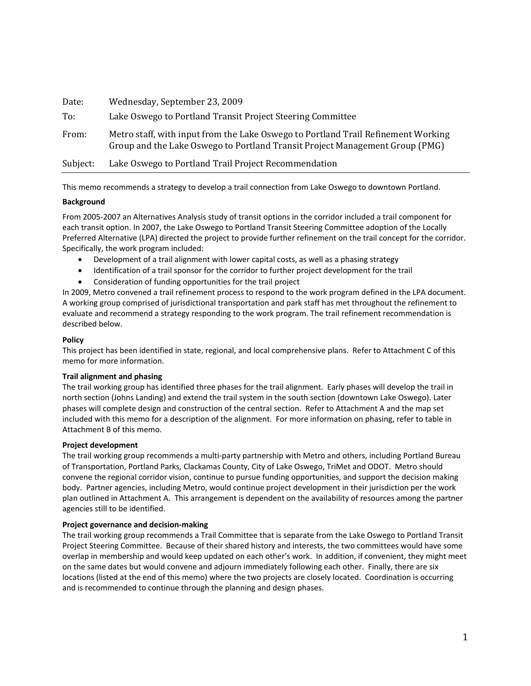| Date:    | Wednesday, September 23, 2009                                                                                                                                     |  |  |
|----------|-------------------------------------------------------------------------------------------------------------------------------------------------------------------|--|--|
| To:      | Lake Oswego to Portland Transit Project Steering Committee                                                                                                        |  |  |
| From:    | Metro staff, with input from the Lake Oswego to Portland Trail Refinement Working<br>Group and the Lake Oswego to Portland Transit Project Management Group (PMG) |  |  |
| Subject: | Lake Oswego to Portland Trail Project Recommendation                                                                                                              |  |  |

This memo recommends a strategy to develop a trail connection from Lake Oswego to downtown Portland.

## **Background**

From 2005-2007 an Alternatives Analysis study of transit options in the corridor included a trail component for each transit option. In 2007, the Lake Oswego to Portland Transit Steering Committee adoption of the Locally Preferred Alternative (LPA) directed the project to provide further refinement on the trail concept for the corridor. Specifically, the work program included:

- Development of a trail alignment with lower capital costs, as well as a phasing strategy
- Identification of a trail sponsor for the corridor to further project development for the trail
- Consideration of funding opportunities for the trail project

In 2009, Metro convened a trail refinement process to respond to the work program defined in the LPA document. A working group comprised of jurisdictional transportation and park staff has met throughout the refinement to evaluate and recommend a strategy responding to the work program. The trail refinement recommendation is described below.

## **Policy**

This project has been identified in state, regional, and local comprehensive plans. Refer to Attachment C of this memo for more information.

## **Trail alignment and phasing**

The trail working group has identified three phases for the trail alignment. Early phases will develop the trail in north section (Johns Landing) and extend the trail system in the south section (downtown Lake Oswego). Later phases will complete design and construction of the central section. Refer to Attachment A and the map set included with this memo for a description of the alignment. For more information on phasing, refer to table in Attachment B of this memo.

## **Project development**

The trail working group recommends a multi-party partnership with Metro and others, including Portland Bureau of Transportation, Portland Parks, Clackamas County, City of Lake Oswego, TriMet and ODOT. Metro should convene the regional corridor vision, continue to pursue funding opportunities, and support the decision making body. Partner agencies, including Metro, would continue project development in their jurisdiction per the work plan outlined in Attachment A. This arrangement is dependent on the availability of resources among the partner agencies still to be identified.

## **Project governance and decision-making**

The trail working group recommends a Trail Committee that is separate from the Lake Oswego to Portland Transit Project Steering Committee. Because of their shared history and interests, the two committees would have some overlap in membership and would keep updated on each other's work. In addition, if convenient, they might meet on the same dates but would convene and adjourn immediately following each other. Finally, there are six locations (listed at the end of this memo) where the two projects are closely located. Coordination is occurring and is recommended to continue through the planning and design phases.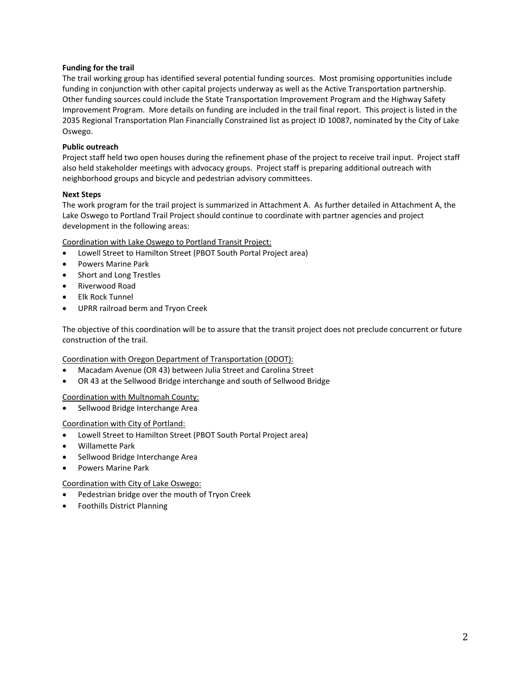## **Funding for the trail**

The trail working group has identified several potential funding sources. Most promising opportunities include funding in conjunction with other capital projects underway as well as the Active Transportation partnership. Other funding sources could include the State Transportation Improvement Program and the Highway Safety Improvement Program. More details on funding are included in the trail final report. This project is listed in the 2035 Regional Transportation Plan Financially Constrained list as project ID 10087, nominated by the City of Lake Oswego.

## **Public outreach**

Project staff held two open houses during the refinement phase of the project to receive trail input. Project staff also held stakeholder meetings with advocacy groups. Project staff is preparing additional outreach with neighborhood groups and bicycle and pedestrian advisory committees.

## **Next Steps**

The work program for the trail project is summarized in Attachment A. As further detailed in Attachment A, the Lake Oswego to Portland Trail Project should continue to coordinate with partner agencies and project development in the following areas:

Coordination with Lake Oswego to Portland Transit Project:

- Lowell Street to Hamilton Street (PBOT South Portal Project area)
- Powers Marine Park
- Short and Long Trestles
- Riverwood Road
- Elk Rock Tunnel
- UPRR railroad berm and Tryon Creek

The objective of this coordination will be to assure that the transit project does not preclude concurrent or future construction of the trail.

Coordination with Oregon Department of Transportation (ODOT):

- Macadam Avenue (OR 43) between Julia Street and Carolina Street
- OR 43 at the Sellwood Bridge interchange and south of Sellwood Bridge

Coordination with Multnomah County:

• Sellwood Bridge Interchange Area

## Coordination with City of Portland:

- Lowell Street to Hamilton Street (PBOT South Portal Project area)
- Willamette Park
- Sellwood Bridge Interchange Area
- Powers Marine Park

## Coordination with City of Lake Oswego:

- Pedestrian bridge over the mouth of Tryon Creek
- Foothills District Planning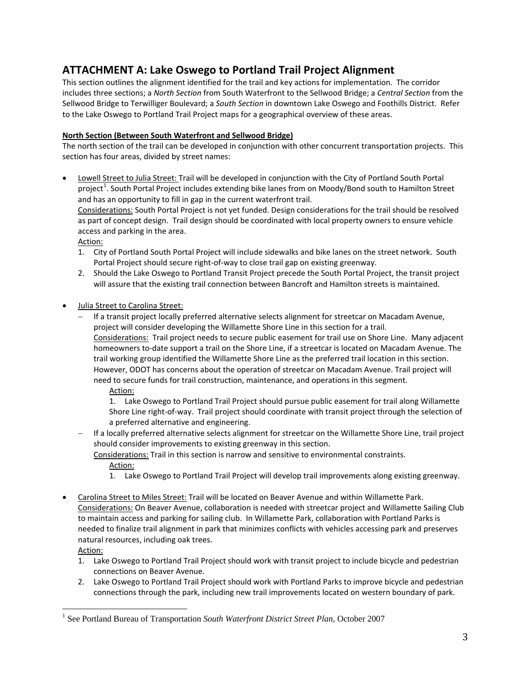# **ATTACHMENT A: Lake Oswego to Portland Trail Project Alignment**

This section outlines the alignment identified for the trail and key actions for implementation. The corridor includes three sections; a *North Section* from South Waterfront to the Sellwood Bridge; a *Central Section* from the Sellwood Bridge to Terwilliger Boulevard; a *South Section* in downtown Lake Oswego and Foothills District. Refer to the Lake Oswego to Portland Trail Project maps for a geographical overview of these areas.

## **North Section (Between South Waterfront and Sellwood Bridge)**

The north section of the trail can be developed in conjunction with other concurrent transportation projects. This section has four areas, divided by street names:

• Lowell Street to Julia Street: Trail will be developed in conjunction with the City of Portland South Portal project<sup>[1](#page-2-0)</sup>. South Portal Project includes extending bike lanes from on Moody/Bond south to Hamilton Street and has an opportunity to fill in gap in the current waterfront trail.

Considerations: South Portal Project is not yet funded. Design considerations for the trail should be resolved as part of concept design. Trail design should be coordinated with local property owners to ensure vehicle access and parking in the area.

Action:

- 1. City of Portland South Portal Project will include sidewalks and bike lanes on the street network. South Portal Project should secure right-of-way to close trail gap on existing greenway.
- 2. Should the Lake Oswego to Portland Transit Project precede the South Portal Project, the transit project will assure that the existing trail connection between Bancroft and Hamilton streets is maintained.
- Julia Street to Carolina Street:
	- − If a transit project locally preferred alternative selects alignment for streetcar on Macadam Avenue, project will consider developing the Willamette Shore Line in this section for a trail. Considerations: Trail project needs to secure public easement for trail use on Shore Line. Many adjacent homeowners to-date support a trail on the Shore Line, if a streetcar is located on Macadam Avenue. The trail working group identified the Willamette Shore Line as the preferred trail location in this section. However, ODOT has concerns about the operation of streetcar on Macadam Avenue. Trail project will need to secure funds for trail construction, maintenance, and operations in this segment.

Action:

1. Lake Oswego to Portland Trail Project should pursue public easement for trail along Willamette Shore Line right-of-way. Trail project should coordinate with transit project through the selection of a preferred alternative and engineering.

− If a locally preferred alternative selects alignment for streetcar on the Willamette Shore Line, trail project should consider improvements to existing greenway in this section.

Considerations: Trail in this section is narrow and sensitive to environmental constraints.

Action:

- 1. Lake Oswego to Portland Trail Project will develop trail improvements along existing greenway.
- Carolina Street to Miles Street: Trail will be located on Beaver Avenue and within Willamette Park. Considerations: On Beaver Avenue, collaboration is needed with streetcar project and Willamette Sailing Club to maintain access and parking for sailing club. In Willamette Park, collaboration with Portland Parks is needed to finalize trail alignment in park that minimizes conflicts with vehicles accessing park and preserves natural resources, including oak trees.

Action:

- 1. Lake Oswego to Portland Trail Project should work with transit project to include bicycle and pedestrian connections on Beaver Avenue.
- 2. Lake Oswego to Portland Trail Project should work with Portland Parks to improve bicycle and pedestrian connections through the park, including new trail improvements located on western boundary of park.

<span id="page-2-0"></span> <sup>1</sup> See Portland Bureau of Transportation *South Waterfront District Street Plan,* October 2007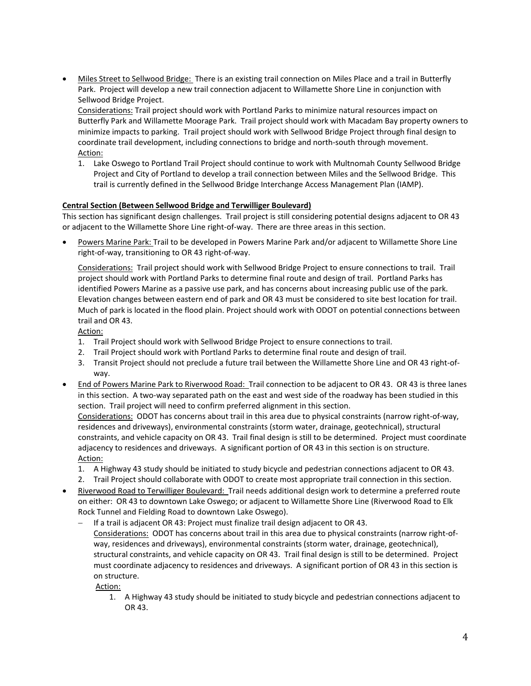• Miles Street to Sellwood Bridge: There is an existing trail connection on Miles Place and a trail in Butterfly Park. Project will develop a new trail connection adjacent to Willamette Shore Line in conjunction with Sellwood Bridge Project.

Considerations: Trail project should work with Portland Parks to minimize natural resources impact on Butterfly Park and Willamette Moorage Park. Trail project should work with Macadam Bay property owners to minimize impacts to parking. Trail project should work with Sellwood Bridge Project through final design to coordinate trail development, including connections to bridge and north-south through movement. Action:

1. Lake Oswego to Portland Trail Project should continue to work with Multnomah County Sellwood Bridge Project and City of Portland to develop a trail connection between Miles and the Sellwood Bridge. This trail is currently defined in the Sellwood Bridge Interchange Access Management Plan (IAMP).

## **Central Section (Between Sellwood Bridge and Terwilliger Boulevard)**

This section has significant design challenges. Trail project is still considering potential designs adjacent to OR 43 or adjacent to the Willamette Shore Line right-of-way. There are three areas in this section.

• Powers Marine Park: Trail to be developed in Powers Marine Park and/or adjacent to Willamette Shore Line right-of-way, transitioning to OR 43 right-of-way.

Considerations: Trail project should work with Sellwood Bridge Project to ensure connections to trail. Trail project should work with Portland Parks to determine final route and design of trail. Portland Parks has identified Powers Marine as a passive use park, and has concerns about increasing public use of the park. Elevation changes between eastern end of park and OR 43 must be considered to site best location for trail. Much of park is located in the flood plain. Project should work with ODOT on potential connections between trail and OR 43.

Action:

- 1. Trail Project should work with Sellwood Bridge Project to ensure connections to trail.
- 2. Trail Project should work with Portland Parks to determine final route and design of trail.
- 3. Transit Project should not preclude a future trail between the Willamette Shore Line and OR 43 right-ofway.
- End of Powers Marine Park to Riverwood Road: Trail connection to be adjacent to OR 43. OR 43 is three lanes in this section. A two-way separated path on the east and west side of the roadway has been studied in this section. Trail project will need to confirm preferred alignment in this section.

Considerations: ODOT has concerns about trail in this area due to physical constraints (narrow right-of-way, residences and driveways), environmental constraints (storm water, drainage, geotechnical), structural constraints, and vehicle capacity on OR 43. Trail final design is still to be determined. Project must coordinate adjacency to residences and driveways. A significant portion of OR 43 in this section is on structure. Action:

- 1. A Highway 43 study should be initiated to study bicycle and pedestrian connections adjacent to OR 43.
- 2. Trail Project should collaborate with ODOT to create most appropriate trail connection in this section.
- Riverwood Road to Terwilliger Boulevard: Trail needs additional design work to determine a preferred route on either: OR 43 to downtown Lake Oswego; or adjacent to Willamette Shore Line (Riverwood Road to Elk Rock Tunnel and Fielding Road to downtown Lake Oswego).

− If a trail is adjacent OR 43: Project must finalize trail design adjacent to OR 43. Considerations: ODOT has concerns about trail in this area due to physical constraints (narrow right-ofway, residences and driveways), environmental constraints (storm water, drainage, geotechnical), structural constraints, and vehicle capacity on OR 43. Trail final design is still to be determined. Project must coordinate adjacency to residences and driveways. A significant portion of OR 43 in this section is on structure.

Action:

1. A Highway 43 study should be initiated to study bicycle and pedestrian connections adjacent to OR 43.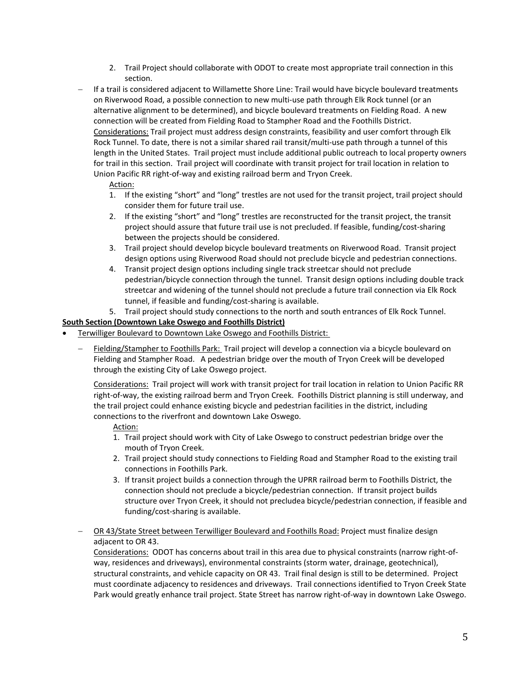- 2. Trail Project should collaborate with ODOT to create most appropriate trail connection in this section.
- − If a trail is considered adjacent to Willamette Shore Line: Trail would have bicycle boulevard treatments on Riverwood Road, a possible connection to new multi-use path through Elk Rock tunnel (or an alternative alignment to be determined), and bicycle boulevard treatments on Fielding Road. A new connection will be created from Fielding Road to Stampher Road and the Foothills District. Considerations: Trail project must address design constraints, feasibility and user comfort through Elk Rock Tunnel. To date, there is not a similar shared rail transit/multi-use path through a tunnel of this length in the United States. Trail project must include additional public outreach to local property owners for trail in this section. Trail project will coordinate with transit project for trail location in relation to Union Pacific RR right-of-way and existing railroad berm and Tryon Creek.

# Action:

- 1. If the existing "short" and "long" trestles are not used for the transit project, trail project should consider them for future trail use.
- 2. If the existing "short" and "long" trestles are reconstructed for the transit project, the transit project should assure that future trail use is not precluded. If feasible, funding/cost-sharing between the projects should be considered.
- 3. Trail project should develop bicycle boulevard treatments on Riverwood Road. Transit project design options using Riverwood Road should not preclude bicycle and pedestrian connections.
- 4. Transit project design options including single track streetcar should not preclude pedestrian/bicycle connection through the tunnel. Transit design options including double track streetcar and widening of the tunnel should not preclude a future trail connection via Elk Rock tunnel, if feasible and funding/cost-sharing is available.
- 5. Trail project should study connections to the north and south entrances of Elk Rock Tunnel.

## **South Section (Downtown Lake Oswego and Foothills District)**

- Terwilliger Boulevard to Downtown Lake Oswego and Foothills District:
	- Fielding/Stampher to Foothills Park: Trail project will develop a connection via a bicycle boulevard on Fielding and Stampher Road. A pedestrian bridge over the mouth of Tryon Creek will be developed through the existing City of Lake Oswego project.

Considerations: Trail project will work with transit project for trail location in relation to Union Pacific RR right-of-way, the existing railroad berm and Tryon Creek. Foothills District planning is still underway, and the trail project could enhance existing bicycle and pedestrian facilities in the district, including connections to the riverfront and downtown Lake Oswego.

# Action:

- 1. Trail project should work with City of Lake Oswego to construct pedestrian bridge over the mouth of Tryon Creek.
- 2. Trail project should study connections to Fielding Road and Stampher Road to the existing trail connections in Foothills Park.
- 3. If transit project builds a connection through the UPRR railroad berm to Foothills District, the connection should not preclude a bicycle/pedestrian connection. If transit project builds structure over Tryon Creek, it should not precludea bicycle/pedestrian connection, if feasible and funding/cost-sharing is available.
- OR 43/State Street between Terwilliger Boulevard and Foothills Road: Project must finalize design adjacent to OR 43.

Considerations: ODOT has concerns about trail in this area due to physical constraints (narrow right-ofway, residences and driveways), environmental constraints (storm water, drainage, geotechnical), structural constraints, and vehicle capacity on OR 43. Trail final design is still to be determined. Project must coordinate adjacency to residences and driveways. Trail connections identified to Tryon Creek State Park would greatly enhance trail project. State Street has narrow right-of-way in downtown Lake Oswego.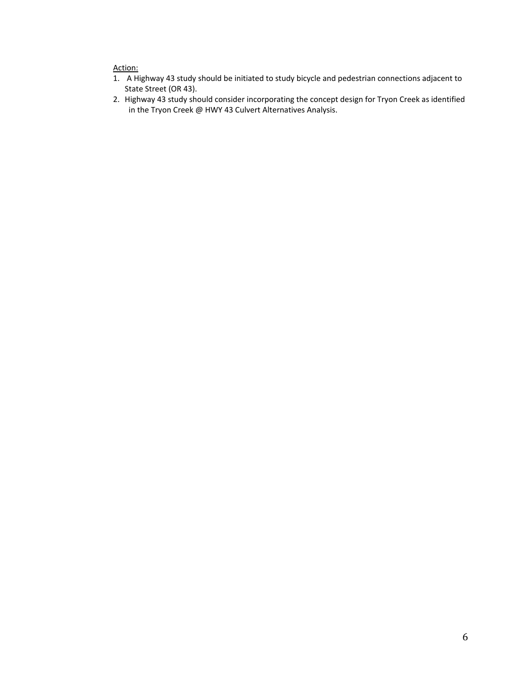# Action:

- 1. A Highway 43 study should be initiated to study bicycle and pedestrian connections adjacent to State Street (OR 43).
- 2. Highway 43 study should consider incorporating the concept design for Tryon Creek as identified in the Tryon Creek @ HWY 43 Culvert Alternatives Analysis.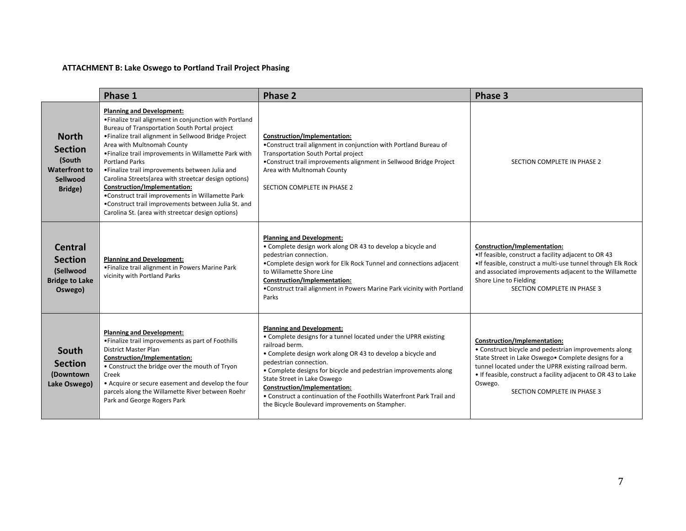# **ATTACHMENT B: Lake Oswego to Portland Trail Project Phasing**

|                                                                                         | Phase 1                                                                                                                                                                                                                                                                                                                                                                                                                                                                                                                                                                                                                           | <b>Phase 2</b>                                                                                                                                                                                                                                                                                                                                                                                                                                                                | Phase 3                                                                                                                                                                                                                                                                                                           |
|-----------------------------------------------------------------------------------------|-----------------------------------------------------------------------------------------------------------------------------------------------------------------------------------------------------------------------------------------------------------------------------------------------------------------------------------------------------------------------------------------------------------------------------------------------------------------------------------------------------------------------------------------------------------------------------------------------------------------------------------|-------------------------------------------------------------------------------------------------------------------------------------------------------------------------------------------------------------------------------------------------------------------------------------------------------------------------------------------------------------------------------------------------------------------------------------------------------------------------------|-------------------------------------------------------------------------------------------------------------------------------------------------------------------------------------------------------------------------------------------------------------------------------------------------------------------|
| <b>North</b><br><b>Section</b><br>(South<br><b>Waterfront to</b><br>Sellwood<br>Bridge) | <b>Planning and Development:</b><br>• Finalize trail alignment in conjunction with Portland<br>Bureau of Transportation South Portal project<br>• Finalize trail alignment in Sellwood Bridge Project<br>Area with Multnomah County<br>. Finalize trail improvements in Willamette Park with<br><b>Portland Parks</b><br>• Finalize trail improvements between Julia and<br>Carolina Streets (area with streetcar design options)<br>Construction/Implementation:<br>•Construct trail improvements in Willamette Park<br>•Construct trail improvements between Julia St. and<br>Carolina St. (area with streetcar design options) | Construction/Implementation:<br>•Construct trail alignment in conjunction with Portland Bureau of<br>Transportation South Portal project<br>•Construct trail improvements alignment in Sellwood Bridge Project<br>Area with Multnomah County<br>SECTION COMPLETE IN PHASE 2                                                                                                                                                                                                   | SECTION COMPLETE IN PHASE 2                                                                                                                                                                                                                                                                                       |
| Central<br><b>Section</b><br>(Sellwood<br><b>Bridge to Lake</b><br>Oswego)              | <b>Planning and Development:</b><br>• Finalize trail alignment in Powers Marine Park<br>vicinity with Portland Parks                                                                                                                                                                                                                                                                                                                                                                                                                                                                                                              | <b>Planning and Development:</b><br>• Complete design work along OR 43 to develop a bicycle and<br>pedestrian connection.<br>•Complete design work for Elk Rock Tunnel and connections adjacent<br>to Willamette Shore Line<br>Construction/Implementation:<br>•Construct trail alignment in Powers Marine Park vicinity with Portland<br>Parks                                                                                                                               | Construction/Implementation:<br>•If feasible, construct a facility adjacent to OR 43<br>.If feasible, construct a multi-use tunnel through Elk Rock<br>and associated improvements adjacent to the Willamette<br>Shore Line to Fielding<br>SECTION COMPLETE IN PHASE 3                                            |
| South<br><b>Section</b><br>(Downtown<br>Lake Oswego)                                    | <b>Planning and Development:</b><br>• Finalize trail improvements as part of Foothills<br><b>District Master Plan</b><br>Construction/Implementation:<br>• Construct the bridge over the mouth of Tryon<br>Creek<br>• Acquire or secure easement and develop the four<br>parcels along the Willamette River between Roehr<br>Park and George Rogers Park                                                                                                                                                                                                                                                                          | <b>Planning and Development:</b><br>• Complete designs for a tunnel located under the UPRR existing<br>railroad berm.<br>• Complete design work along OR 43 to develop a bicycle and<br>pedestrian connection.<br>• Complete designs for bicycle and pedestrian improvements along<br>State Street in Lake Oswego<br>Construction/Implementation:<br>• Construct a continuation of the Foothills Waterfront Park Trail and<br>the Bicycle Boulevard improvements on Stampher. | Construction/Implementation:<br>• Construct bicycle and pedestrian improvements along<br>State Street in Lake Oswego . Complete designs for a<br>tunnel located under the UPRR existing railroad berm.<br>• If feasible, construct a facility adjacent to OR 43 to Lake<br>Oswego.<br>SECTION COMPLETE IN PHASE 3 |